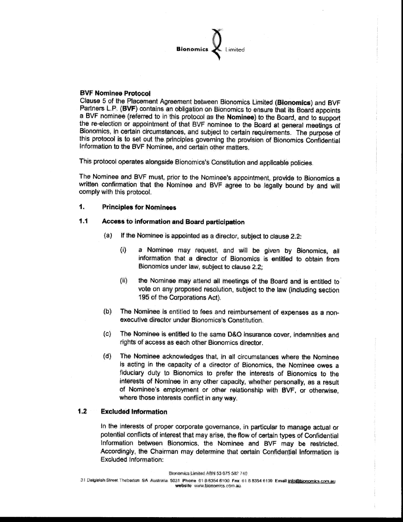

# **BVF Nominee Protocol**

Clause 5 of the Placement Agreement between Bionomics Limited (Bionomics) and BVF Partners L.P. (BVF) contains an obligation on Bionomics to ensure that its Board appoints a BVF nominee (referred to in this protocol as the Nominee) to the Board, and to support the re-election or appointment of that BVF nominee to the Board at general meetings of Bionomics, in certain circumstances, and subject to certain requirements. The purpose of this protocol is to set out the principles governing the provision of Bionomics Confidential Information to the BVF Nominee, and certain other matters.

This protocol operates alongside Bionomics's Constitution and applicable policies.

The Nominee and BVF must, prior to the Nominee's appointment, provide to Bionomics a written confirmation that the Nominee and BVF agree to be legally bound by and will comply with this protocol.

# 1. **Principles for Nominees**

# $1.1$ Access to information and Board participation

- $(a)$ If the Nominee is appointed as a director, subject to clause 2.2.
	- $(i)$ a Nominee may request, and will be given by Bionomics, all information that a director of Bionomics is entitled to obtain from Bionomics under law, subject to clause 2.2;
	- $(ii)$ the Nominee may attend all meetings of the Board and is entitled to vote on any proposed resolution, subject to the law (including section 195 of the Corporations Act).
- The Nominee is entitled to fees and reimbursement of expenses as a non- $(b)$ executive director under Bionomics's Constitution.
- $(c)$ The Nominee is entitled to the same D&O insurance cover, indemnities and rights of access as each other Bionomics director.
- $(d)$ The Nominee acknowledges that, in all circumstances where the Nominee is acting in the capacity of a director of Bionomics, the Nominee owes a fiduciary duty to Bionomics to prefer the interests of Bionomics to the interests of Nominee in any other capacity, whether personally, as a result of Nominee's employment or other relationship with BVF, or otherwise, where those interests conflict in any way.

## $1.2$ **Excluded Information**

In the interests of proper corporate governance, in particular to manage actual or potential conflicts of interest that may arise, the flow of certain types of Confidential Information between Bionomics, the Nominee and BVF may be restricted. Accordingly, the Chairman may determine that certain Confidential Information is Excluded Information:

31 Dalgielsh Street Thebatton SA Australia 5031 Phone 61 8/8354 6100 Fax 51-8 8354 6199 Email info@bionomics.com.au website www.bionomics.com.au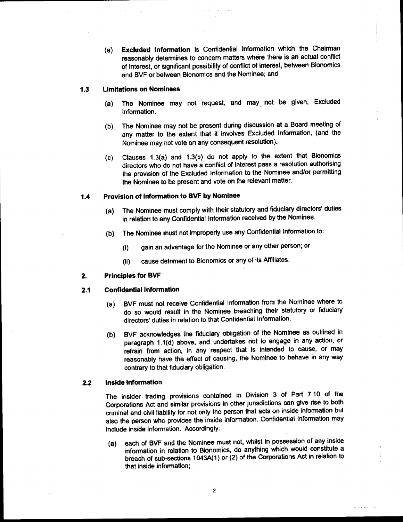Excluded Information is Confidential Information which the Chairman  $(a)$ reasonably determines to concern matters where there is an actual conflict of interest, or significant possibility of conflict of interest, between Bionomics and BVF or between Bionomics and the Nominee; and

## $1.3$ **Limitations on Nominees**

- The Nominee may not request, and may not be given, Excluded  $(a)$ Information.
- The Nominee may not be present during discussion at a Board meeting of  $(b)$ any matter to the extent that it involves Excluded Information, (and the Nominee may not vote on any consequent resolution).
- Clauses 1.3(a) and 1.3(b) do not apply to the extent that Bionomics  $\langle c \rangle$ directors who do not have a conflict of interest pass a resolution authorising the provision of the Excluded Information to the Nominee and/or permitting the Nominee to be present and vote on the relevant matter.

# Provision of Information to BVF by Nominee  $1.4$

- The Nominee must comply with their statutory and fiduciary directors' duties  $(a)$ in relation to any Confidential Information received by the Nominee.
- The Nominee must not improperly use any Confidential Information to:  $(b)$ 
	- gain an advantage for the Nominee or any other person; or  $(i)$
	- cause detriment to Bionomics or any of its Affiliates.  $(ii)$

## **Principles for BVF**  $2.$

#### $2.1$ **Confidential Information**

- BVF must not receive Confidential Information from the Nominee where to  $(a)$ do so would result in the Nominee breaching their statutory or fiduciary directors' duties in relation to that Confidential Information.
- BVF acknowledges the fiduciary obligation of the Nominee as outlined in  $(b)$ paragraph 1.1(d) above, and undertakes not to engage in any action, or refrain from action, in any respect that is intended to cause, or may reasonably have the effect of causing, the Nominee to behave in any way contrary to that fiduciary obligation.

## Inside information  $2.2$

The insider trading provisions contained in Division 3 of Part 7.10 of the Corporations Act and similar provisions in other jurisdictions can give rise to both criminal and civil liability for not only the person that acts on inside information but also the person who provides the inside information. Confidential Information may include inside information. Accordingly:

each of BVF and the Nominee must not, whilst in possession of any inside  $(a)$ information in relation to Bionomics, do anything which would constitute a breach of sub-sections 1043A(1) or (2) of the Corporations Act in relation to that inside information;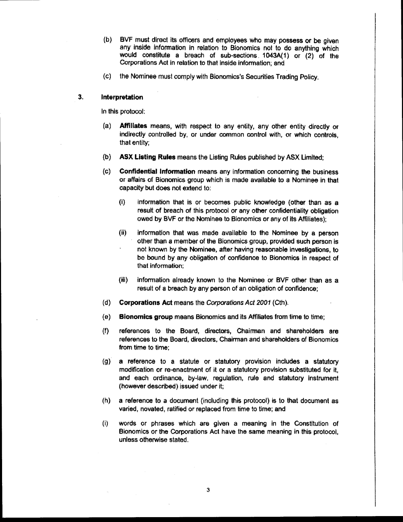(b) BVF must direct its officers and employees who may possess or be given any inside information in relation to Bionomics not to do anything which would constitute a breach of sub-sections 1043A(1) or (2) of the Corporations Act in relation to that inside information; and

(c) the Nominee must comply with Bionomics's Securities Trading Policy.

## 3. Interpretation

In this protocol:

- (a) Affiliates means, with respect to any entity, any other entity directly or indirectly controlled by, or under common control with, or which controls, that entity;
- ASX Listing Rules means the Listing Rules published by ASX Limited:  $(b)$
- Confidential Information means any information concerning the business  $(c)$ or affairs of Bionomics group which is made available to a Nominee in that capacity but does not extend to:
	- information that is or becomes public knowledge (other than as a  $\langle 0 \rangle$ result of breach of this protocol or any other confidentiality obligation owed by BVF or the Nominee to Bionomics or any of its Affiliates);
	- $(ii)$ Information that was made available to the Nominee by a person other than a member of the Bionomics group, provided such person is not known by the Nominee, after having reasonable investigations, to be bound by any obligation of confidence to Bionomics in respect of that information:
	- $(iii)$ information already known to the Nominee or BVF other than as a result of a breach by any person of an obligation of confidence;
- $(d)$ **Corporations Act means the Corporations Act 2001 (Cth).**
- $(e)$ **Bionomics group means Bionomics and its Affiliates from time to time;**
- references to the Board, directors, Chairman and shareholders are  $(f)$ references to the Board, directors, Chairman and shareholders of Bionomics from time to time:
- a reference to a statute or statutory provision includes a statutory  $\left( q\right)$ modification or re-enactment of it or a statutory provision substituted for it, and each ordinance, by-law, regulation, rule and statutory instrument (however described) issued under it:
- $(h)$ a reference to a document (including this protocol) is to that document as varied, novated, ratified or replaced from time to time; and
- $\mathbf{I}$ words or phrases which are given a meaning in the Constitution of Bionomics or the Corporations Act have the same meaning in this protocol, unless otherwise stated.